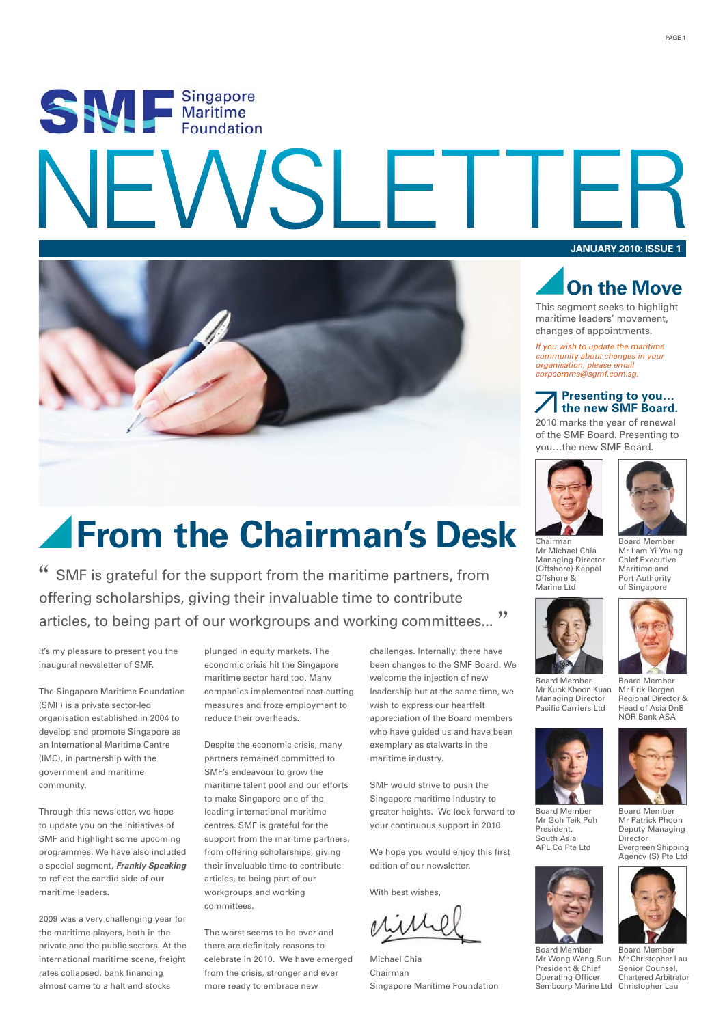# SEA E Singapore **F**



### **From the Chairman's Desk**

" SMF is grateful for the support from the maritime partners, from offering scholarships, giving their invaluable time to contribute articles, to being part of our workgroups and working committees..."

It's my pleasure to present you the inaugural newsletter of SMF.

The Singapore Maritime Foundation (SMF) is a private sector-led organisation established in 2004 to develop and promote Singapore as an International Maritime Centre (IMC), in partnership with the government and maritime community.

Through this newsletter, we hope to update you on the initiatives of SMF and highlight some upcoming programmes. We have also included a special segment, *Frankly Speaking* to reflect the candid side of our maritime leaders.

2009 was a very challenging year for the maritime players, both in the private and the public sectors. At the international maritime scene, freight rates collapsed, bank financing almost came to a halt and stocks

plunged in equity markets. The economic crisis hit the Singapore maritime sector hard too. Many companies implemented cost-cutting measures and froze employment to reduce their overheads.

Despite the economic crisis, many partners remained committed to SMF's endeavour to grow the maritime talent pool and our efforts to make Singapore one of the leading international maritime centres. SMF is grateful for the support from the maritime partners. from offering scholarships, giving their invaluable time to contribute articles, to being part of our workgroups and working committees.

The worst seems to be over and there are definitely reasons to celebrate in 2010. We have emerged from the crisis, stronger and ever more ready to embrace new

challenges. Internally, there have been changes to the SMF Board. We welcome the injection of new leadership but at the same time, we wish to express our heartfelt appreciation of the Board members who have guided us and have been exemplary as stalwarts in the maritime industry.

SMF would strive to push the Singapore maritime industry to greater heights. We look forward to your continuous support in 2010.

We hope you would enjoy this first edition of our newsletter.

With best wishes,

Michael Chia Chairman Singapore Maritime Foundation

**JANUARY 2010: ISSUE 1**



This segment seeks to highlight maritime leaders' movement, changes of appointments.

*If you wish to update the maritime community about changes in your organisation, please email corpcomms@sgmf.com.sg.*

### **Presenting to you… the new SMF Board.**

2010 marks the year of renewal of the SMF Board. Presenting to you…the new SMF Board.





Mr Lam Yi Young Chief Executive Maritime and Port Authority of Singapore

Chairman Mr Michael Chia Managing Director (Offshore) Keppel Offshore & **Marine Ltd** 



Mr Kuok Khoon Kuan Managing Director Pacific Carriers Ltd

Mr Goh Teik Poh President, South Asia APL Co Pte Ltd

Mr Wong Weng Sun President & Chief Operating Officer

Board Member Mr Erik Borgen Regional Director & Head of Asia DnB NOR Bank ASA



Board Member Mr Patrick Phoon Deputy Managing Director

Evergreen Shipping Agency (S) Pte Ltd



Sembcorp Marine Ltd Christopher Lau Board Member Mr Christopher Lau Senior Counsel, Chartered Arbitrator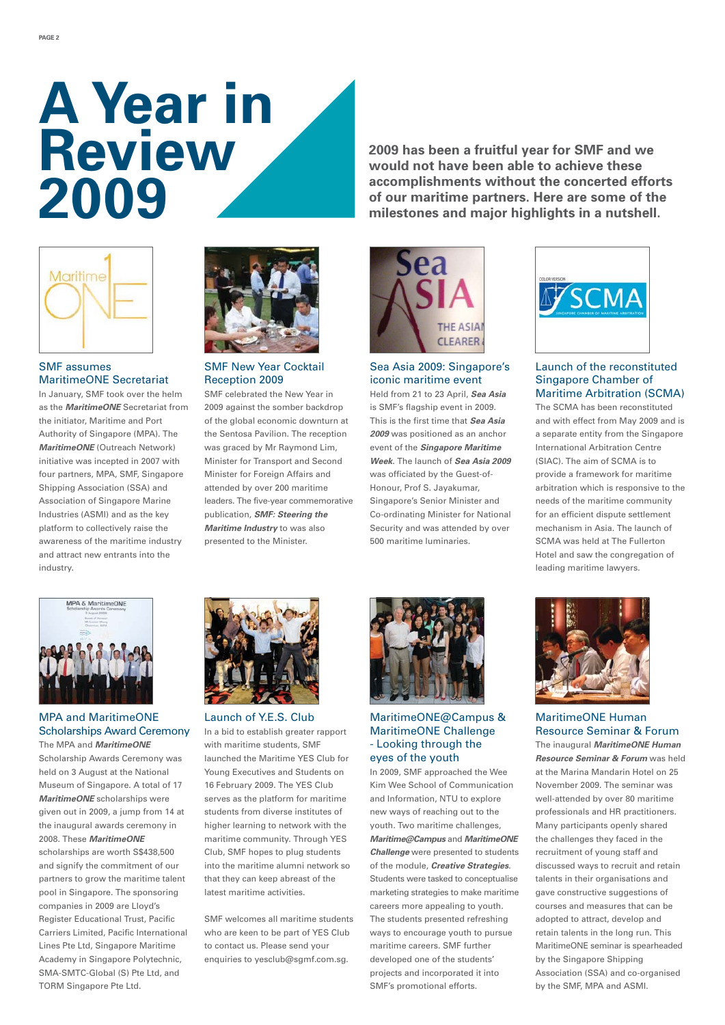### **A Year in Review 2009**



### SMF assumes MaritimeONE Secretariat

In January, SMF took over the helm as the *MaritimeONE* Secretariat from the initiator, Maritime and Port Authority of Singapore (MPA). The *MaritimeONE* (Outreach Network) initiative was incepted in 2007 with four partners, MPA, SMF, Singapore Shipping Association (SSA) and Association of Singapore Marine Industries (ASMI) and as the key platform to collectively raise the awareness of the maritime industry and attract new entrants into the industry.



SMF New Year Cocktail Reception 2009

SMF celebrated the New Year in 2009 against the somber backdrop of the global economic downturn at the Sentosa Pavilion. The reception was graced by Mr Raymond Lim, Minister for Transport and Second Minister for Foreign Affairs and attended by over 200 maritime leaders. The five-year commemorative publication, *SMF: Steering the Maritime Industry* to was also presented to the Minister.



Sea Asia 2009: Singapore's iconic maritime event

Held from 21 to 23 April, *Sea Asia* is SMF's flagship event in 2009. This is the first time that *Sea Asia 2009* was positioned as an anchor event of the *Singapore Maritime Week*. The launch of *Sea Asia 2009* was officiated by the Guest-of-Honour, Prof S. Jayakumar, Singapore's Senior Minister and Co-ordinating Minister for National Security and was attended by over 500 maritime luminaries.



**2009 has been a fruitful year for SMF and we would not have been able to achieve these accomplishments without the concerted efforts of our maritime partners. Here are some of the milestones and major highlights in a nutshell.** 

### Launch of the reconstituted Singapore Chamber of Maritime Arbitration (SCMA)

The SCMA has been reconstituted and with effect from May 2009 and is a separate entity from the Singapore International Arbitration Centre (SIAC). The aim of SCMA is to provide a framework for maritime arbitration which is responsive to the needs of the maritime community for an efficient dispute settlement mechanism in Asia. The launch of SCMA was held at The Fullerton Hotel and saw the congregation of leading maritime lawyers.



### MPA and MaritimeONE Scholarships Award Ceremony

The MPA and *MaritimeONE* Scholarship Awards Ceremony was held on 3 August at the National Museum of Singapore. A total of 17 *MaritimeONE* scholarships were given out in 2009, a jump from 14 at the inaugural awards ceremony in 2008. These *MaritimeONE* scholarships are worth S\$438,500 and signify the commitment of our partners to grow the maritime talent pool in Singapore. The sponsoring companies in 2009 are Lloyd's Register Educational Trust, Pacific Carriers Limited, Pacific International Lines Pte Ltd, Singapore Maritime Academy in Singapore Polytechnic, SMA-SMTC-Global (S) Pte Ltd, and TORM Singapore Pte Ltd.



In a bid to establish greater rapport with maritime students, SMF launched the Maritime YES Club for Young Executives and Students on 16 February 2009. The YES Club serves as the platform for maritime students from diverse institutes of higher learning to network with the maritime community. Through YES Club, SMF hopes to plug students into the maritime alumni network so that they can keep abreast of the latest maritime activities. Launch of Y.E.S. Club

SMF welcomes all maritime students who are keen to be part of YES Club to contact us. Please send your enquiries to yesclub@sgmf.com.sg.



### MaritimeONE@Campus & MaritimeONE Challenge - Looking through the eyes of the youth

In 2009, SMF approached the Wee Kim Wee School of Communication and Information, NTU to explore new ways of reaching out to the youth. Two maritime challenges, *Maritime@Campus* and *MaritimeONE Challenge* were presented to students of the module, *Creative Strategies*. Students were tasked to conceptualise marketing strategies to make maritime careers more appealing to youth. The students presented refreshing ways to encourage youth to pursue maritime careers. SMF further developed one of the students' projects and incorporated it into SMF's promotional efforts.



### MaritimeONE Human Resource Seminar & Forum

The inaugural *MaritimeONE Human Resource Seminar & Forum* was held at the Marina Mandarin Hotel on 25 November 2009. The seminar was well-attended by over 80 maritime professionals and HR practitioners. Many participants openly shared the challenges they faced in the recruitment of young staff and discussed ways to recruit and retain talents in their organisations and gave constructive suggestions of courses and measures that can be adopted to attract, develop and retain talents in the long run. This MaritimeONE seminar is spearheaded by the Singapore Shipping Association (SSA) and co-organised by the SMF, MPA and ASMI.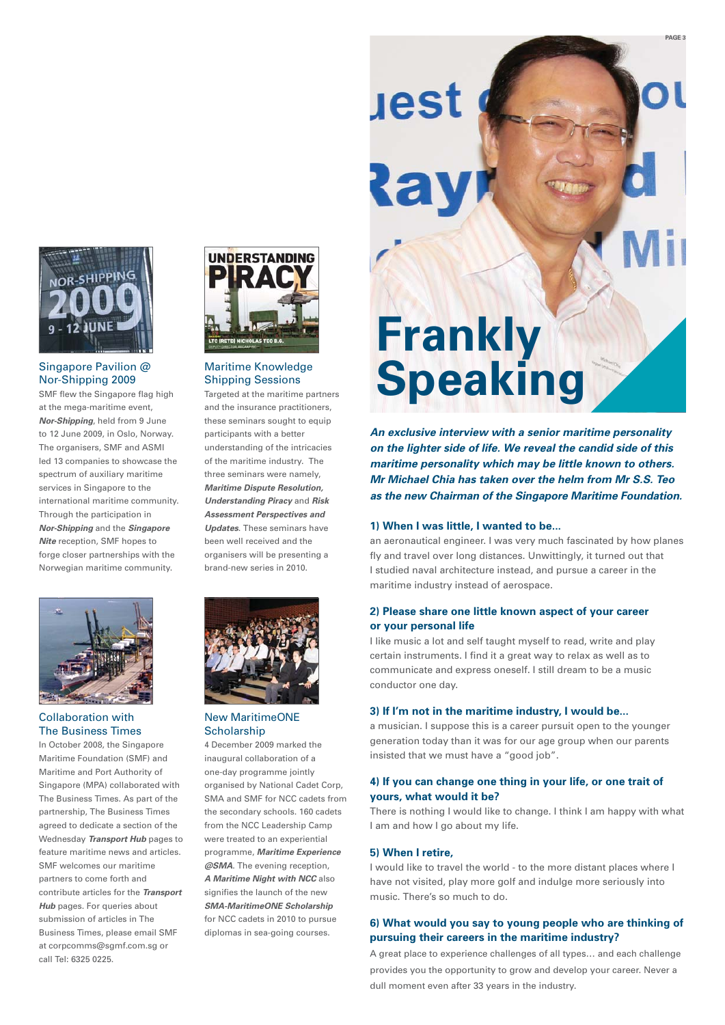

### Singapore Pavilion @ Nor-Shipping 2009

SMF flew the Singapore flag high at the mega-maritime event, *Nor-Shipping*, held from 9 June to 12 June 2009, in Oslo, Norway. The organisers, SMF and ASMI led 13 companies to showcase the spectrum of auxiliary maritime services in Singapore to the international maritime community. Through the participation in *Nor-Shipping* and the *Singapore Nite* reception, SMF hopes to forge closer partnerships with the Norwegian maritime community.



#### Collaboration with The Business Times

In October 2008, the Singapore Maritime Foundation (SMF) and Maritime and Port Authority of Singapore (MPA) collaborated with The Business Times. As part of the partnership, The Business Times agreed to dedicate a section of the Wednesday *Transport Hub* pages to feature maritime news and articles. SMF welcomes our maritime partners to come forth and contribute articles for the *Transport Hub* pages. For queries about submission of articles in The Business Times, please email SMF at corpcomms@sgmf.com.sg or call Tel: 6325 0225.



### Maritime Knowledge Shipping Sessions

Targeted at the maritime partners and the insurance practitioners, these seminars sought to equip participants with a better understanding of the intricacies of the maritime industry. The three seminars were namely, *Maritime Dispute Resolution, Understanding Piracy* and *Risk Assessment Perspectives and Updates*. These seminars have been well received and the organisers will be presenting a brand-new series in 2010.



### New MaritimeONE **Scholarship**

4 December 2009 marked the inaugural collaboration of a one-day programme jointly organised by National Cadet Corp, SMA and SMF for NCC cadets from the secondary schools. 160 cadets from the NCC Leadership Camp were treated to an experiential programme, *Maritime Experience @SMA*. The evening reception, *A Maritime Night with NCC* also signifies the launch of the new *SMA-MaritimeONE Scholarship* for NCC cadets in 2010 to pursue diplomas in sea-going courses.

## **Frankly Speaking**

uest

av

*An exclusive interview with a senior maritime personality on the lighter side of life. We reveal the candid side of this maritime personality which may be little known to others. Mr Michael Chia has taken over the helm from Mr S.S. Teo as the new Chairman of the Singapore Maritime Foundation.*

**PAGE 3**

### **1) When I was little, I wanted to be...**

an aeronautical engineer. I was very much fascinated by how planes fly and travel over long distances. Unwittingly, it turned out that I studied naval architecture instead, and pursue a career in the maritime industry instead of aerospace.

### **2) Please share one little known aspect of your career or your personal life**

I like music a lot and self taught myself to read, write and play certain instruments. I find it a great way to relax as well as to communicate and express oneself. I still dream to be a music conductor one day.

### **3) If I'm not in the maritime industry, I would be...**

a musician. I suppose this is a career pursuit open to the younger generation today than it was for our age group when our parents insisted that we must have a "good job".

### **4) If you can change one thing in your life, or one trait of yours, what would it be?**

There is nothing I would like to change. I think I am happy with what I am and how I go about my life.

### **5) When I retire,**

I would like to travel the world - to the more distant places where I have not visited, play more golf and indulge more seriously into music. There's so much to do.

### **6) What would you say to young people who are thinking of pursuing their careers in the maritime industry?**

A great place to experience challenges of all types… and each challenge provides you the opportunity to grow and develop your career. Never a dull moment even after 33 years in the industry.